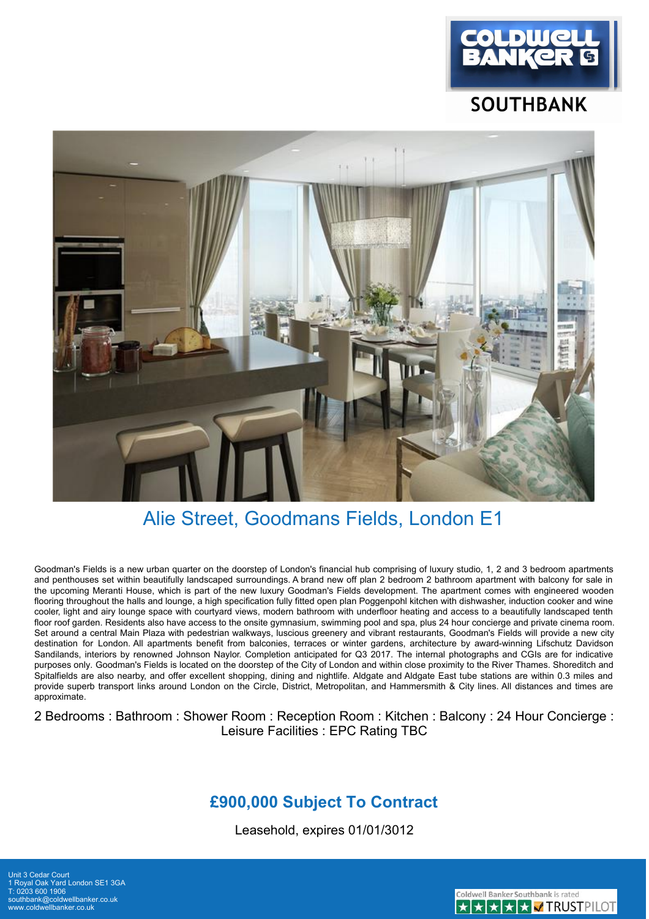

## **SOUTHBANK**



## Alie Street, Goodmans Fields, London E1

Goodman's Fields is a new urban quarter on the doorstep of London's financial hub comprising of luxury studio, 1, 2 and 3 bedroom apartments and penthouses set within beautifully landscaped surroundings. A brand new off plan 2 bedroom 2 bathroom apartment with balcony for sale in the upcoming Meranti House, which is part of the new luxury Goodman's Fields development. The apartment comes with engineered wooden flooring throughout the halls and lounge, a high specification fully fitted open plan Poggenpohl kitchen with dishwasher, induction cooker and wine cooler, light and airy lounge space with courtyard views, modern bathroom with underfloor heating and access to a beautifully landscaped tenth floor roof garden. Residents also have access to the onsite gymnasium, swimming pool and spa, plus 24 hour concierge and private cinema room. Set around a central Main Plaza with pedestrian walkways, luscious greenery and vibrant restaurants, Goodman's Fields will provide a new city destination for London. All apartments benefit from balconies, terraces or winter gardens, architecture by award-winning Lifschutz Davidson Sandilands, interiors by renowned Johnson Naylor. Completion anticipated for Q3 2017. The internal photographs and CGIs are for indicative purposes only. Goodman's Fields is located on the doorstep of the City of London and within close proximity to the River Thames. Shoreditch and Spitalfields are also nearby, and offer excellent shopping, dining and nightlife. Aldgate and Aldgate East tube stations are within 0.3 miles and provide superb transport links around London on the Circle, District, Metropolitan, and Hammersmith & City lines. All distances and times are approximate.

2 Bedrooms : Bathroom : Shower Room : Reception Room : Kitchen : Balcony : 24 Hour Concierge : Leisure Facilities : EPC Rating TBC

### **£900,000 Subject To Contract**

Leasehold, expires 01/01/3012

Unit 3 Cedar Court 1 Royal Oak Yard London SE1 3GA 600 1906 southbank@coldwellbanker.co.uk www.coldwellbanker.co.uk

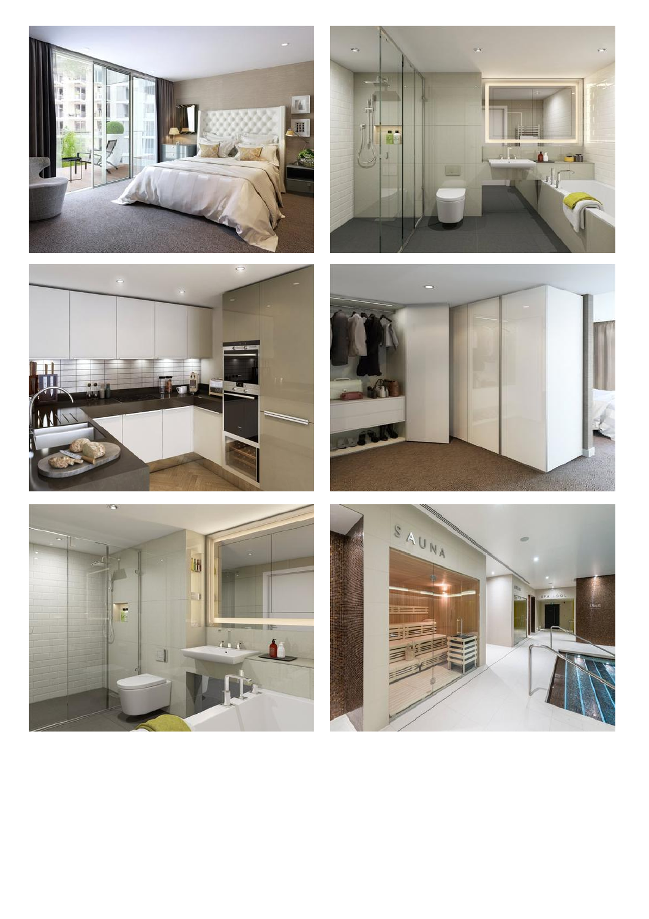









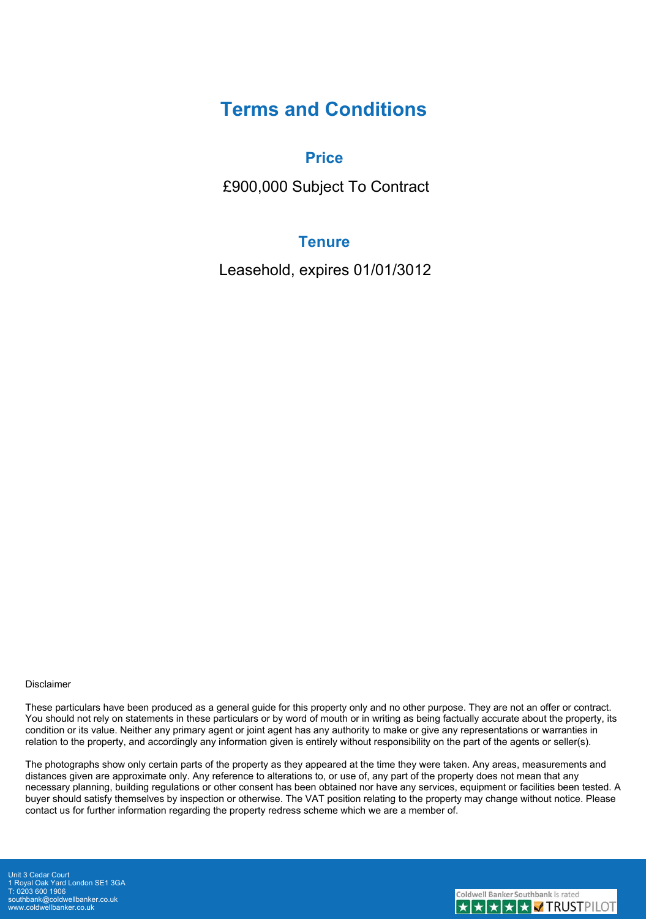## **Terms and Conditions**

#### **Price**

£900,000 Subject To Contract

#### **Tenure**

Leasehold, expires 01/01/3012

#### Disclaimer

These particulars have been produced as a general guide for this property only and no other purpose. They are not an offer or contract. You should not rely on statements in these particulars or by word of mouth or in writing as being factually accurate about the property, its condition or its value. Neither any primary agent or joint agent has any authority to make or give any representations or warranties in relation to the property, and accordingly any information given is entirely without responsibility on the part of the agents or seller(s).

The photographs show only certain parts of the property as they appeared at the time they were taken. Any areas, measurements and distances given are approximate only. Any reference to alterations to, or use of, any part of the property does not mean that any necessary planning, building regulations or other consent has been obtained nor have any services, equipment or facilities been tested. A buyer should satisfy themselves by inspection or otherwise. The VAT position relating to the property may change without notice. Please contact us for further information regarding the property redress scheme which we are a member of.

Coldwell Banker Southbank is rated

★★★★★★TRUSTPILOT

Unit 3 Cedar Court<br>1 Royal Oak Yard London SE1 3GA<br>T: 0203 600 1906<br>southbank@coldwellbanker.co.uk<br>www.coldwellbanker.co.uk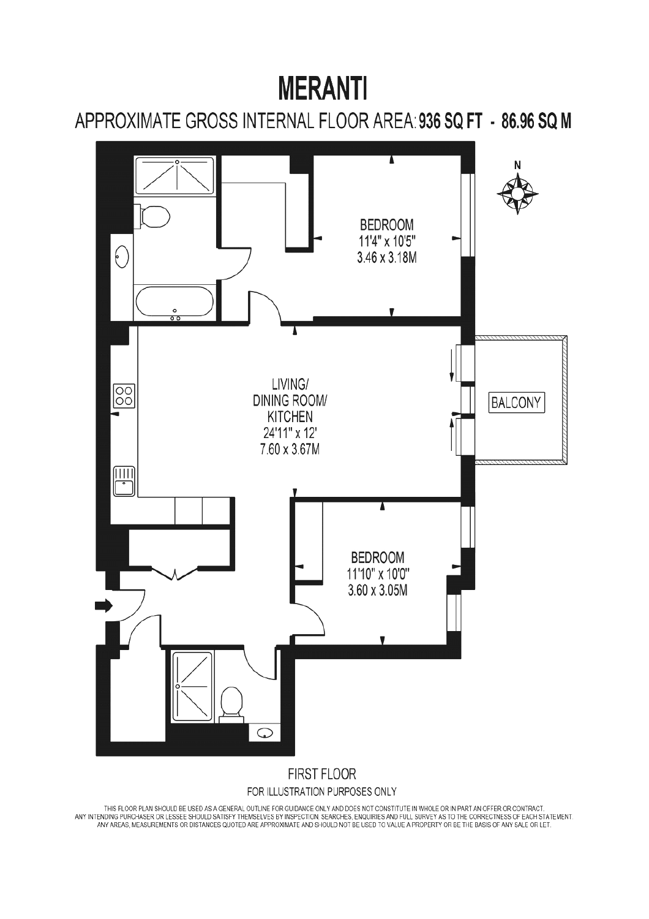# **MERANTI**

APPROXIMATE GROSS INTERNAL FLOOR AREA: 936 SQ FT - 86.96 SQ M



FOR ILLUSTRATION PURPOSES ONLY

THIS FLOOR PLAN SHOULD BE USED AS A GENERAL OUTLINE FOR GUIDANCE ONLY AND DOES NOT CONSTITUTE IN WHOLE OR IN PART AN OFFER OR CONTRACT.<br>ANY INTENDING PURCHASER OR LESSEE SHOULD SATISFY THEMSELVES BY INSPECTION, SEARCHES, E